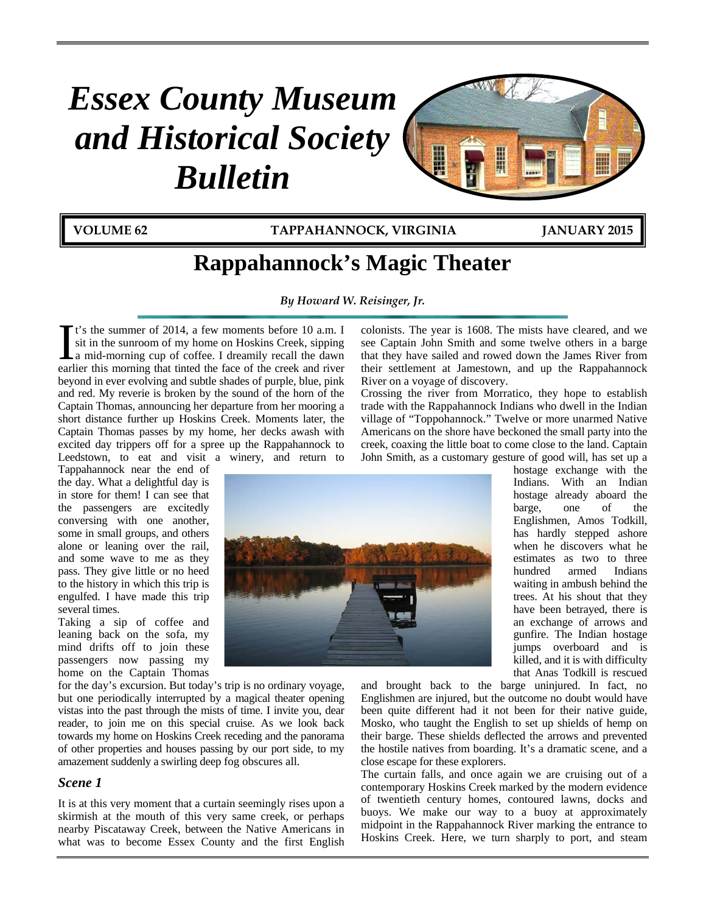# *Essex County Museum and Historical Society Bulletin*



**VOLUME 62 TAPPAHANNOCK, VIRGINIA JANUARY 2015**

# **Rappahannock's Magic Theater**

*By Howard W. Reisinger, Jr.*

t's the summer of 2014, a few moments before 10 a.m. I sit in the sunroom of my home on Hoskins Creek, sipping a mid-morning cup of coffee. I dreamily recall the dawn It's the summer of 2014, a few moments before 10 a.m. I sit in the sunroom of my home on Hoskins Creek, sipping a mid-morning cup of coffee. I dreamily recall the dawn earlier this morning that tinted the face of the creek beyond in ever evolving and subtle shades of purple, blue, pink and red. My reverie is broken by the sound of the horn of the Captain Thomas, announcing her departure from her mooring a short distance further up Hoskins Creek. Moments later, the Captain Thomas passes by my home, her decks awash with excited day trippers off for a spree up the Rappahannock to Leedstown, to eat and visit a winery, and return to

Tappahannock near the end of the day. What a delightful day is in store for them! I can see that the passengers are excitedly conversing with one another, some in small groups, and others alone or leaning over the rail, and some wave to me as they pass. They give little or no heed to the history in which this trip is engulfed. I have made this trip several times.

Taking a sip of coffee and leaning back on the sofa, my mind drifts off to join these passengers now passing my home on the Captain Thomas

for the day's excursion. But today's trip is no ordinary voyage, but one periodically interrupted by a magical theater opening vistas into the past through the mists of time. I invite you, dear reader, to join me on this special cruise. As we look back towards my home on Hoskins Creek receding and the panorama of other properties and houses passing by our port side, to my amazement suddenly a swirling deep fog obscures all.

# *Scene 1*

It is at this very moment that a curtain seemingly rises upon a skirmish at the mouth of this very same creek, or perhaps nearby Piscataway Creek, between the Native Americans in what was to become Essex County and the first English

colonists. The year is 1608. The mists have cleared, and we see Captain John Smith and some twelve others in a barge that they have sailed and rowed down the James River from their settlement at Jamestown, and up the Rappahannock River on a voyage of discovery.

Crossing the river from Morratico, they hope to establish trade with the Rappahannock Indians who dwell in the Indian village of "Toppohannock." Twelve or more unarmed Native Americans on the shore have beckoned the small party into the creek, coaxing the little boat to come close to the land. Captain John Smith, as a customary gesture of good will, has set up a



hostage exchange with the Indians. With an Indian hostage already aboard the barge, one of the Englishmen, Amos Todkill, has hardly stepped ashore when he discovers what he estimates as two to three hundred armed Indians waiting in ambush behind the trees. At his shout that they have been betrayed, there is an exchange of arrows and gunfire. The Indian hostage jumps overboard and is killed, and it is with difficulty that Anas Todkill is rescued

and brought back to the barge uninjured. In fact, no Englishmen are injured, but the outcome no doubt would have been quite different had it not been for their native guide, Mosko, who taught the English to set up shields of hemp on their barge. These shields deflected the arrows and prevented the hostile natives from boarding. It's a dramatic scene, and a close escape for these explorers.

The curtain falls, and once again we are cruising out of a contemporary Hoskins Creek marked by the modern evidence of twentieth century homes, contoured lawns, docks and buoys. We make our way to a buoy at approximately midpoint in the Rappahannock River marking the entrance to Hoskins Creek. Here, we turn sharply to port, and steam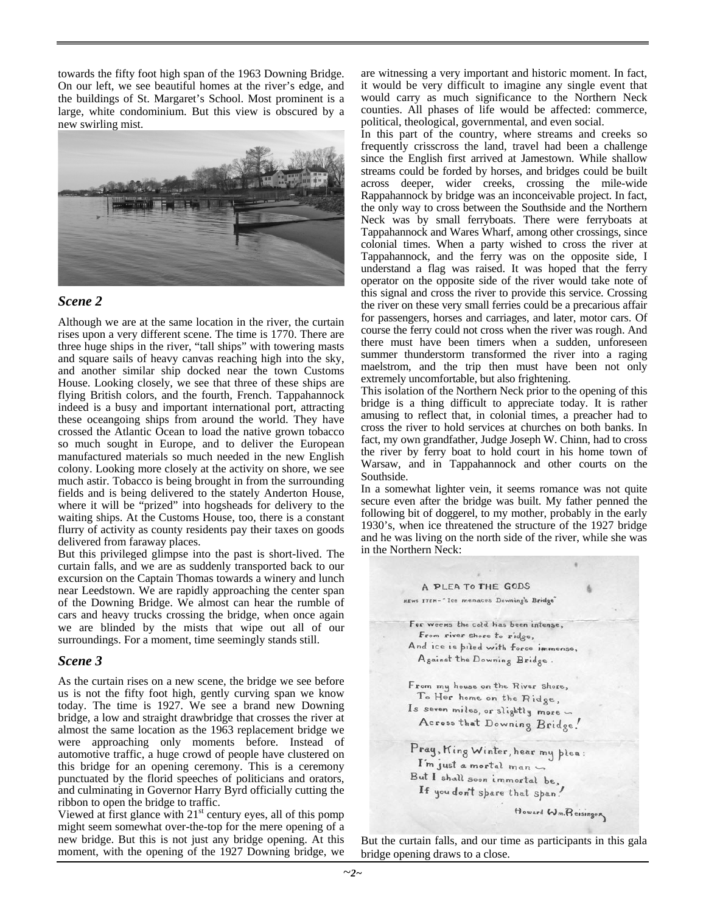towards the fifty foot high span of the 1963 Downing Bridge. On our left, we see beautiful homes at the river's edge, and the buildings of St. Margaret's School. Most prominent is a large, white condominium. But this view is obscured by a new swirling mist.



#### *Scene 2*

Although we are at the same location in the river, the curtain rises upon a very different scene. The time is 1770. There are three huge ships in the river, "tall ships" with towering masts and square sails of heavy canvas reaching high into the sky, and another similar ship docked near the town Customs House. Looking closely, we see that three of these ships are flying British colors, and the fourth, French. Tappahannock indeed is a busy and important international port, attracting these oceangoing ships from around the world. They have crossed the Atlantic Ocean to load the native grown tobacco so much sought in Europe, and to deliver the European manufactured materials so much needed in the new English colony. Looking more closely at the activity on shore, we see much astir. Tobacco is being brought in from the surrounding fields and is being delivered to the stately Anderton House, where it will be "prized" into hogsheads for delivery to the waiting ships. At the Customs House, too, there is a constant flurry of activity as county residents pay their taxes on goods delivered from faraway places.

But this privileged glimpse into the past is short-lived. The curtain falls, and we are as suddenly transported back to our excursion on the Captain Thomas towards a winery and lunch near Leedstown. We are rapidly approaching the center span of the Downing Bridge. We almost can hear the rumble of cars and heavy trucks crossing the bridge, when once again we are blinded by the mists that wipe out all of our surroundings. For a moment, time seemingly stands still.

#### *Scene 3*

As the curtain rises on a new scene, the bridge we see before us is not the fifty foot high, gently curving span we know today. The time is 1927. We see a brand new Downing bridge, a low and straight drawbridge that crosses the river at almost the same location as the 1963 replacement bridge we were approaching only moments before. Instead of automotive traffic, a huge crowd of people have clustered on this bridge for an opening ceremony. This is a ceremony punctuated by the florid speeches of politicians and orators, and culminating in Governor Harry Byrd officially cutting the ribbon to open the bridge to traffic.

Viewed at first glance with  $21<sup>st</sup>$  century eyes, all of this pomp might seem somewhat over-the-top for the mere opening of a new bridge. But this is not just any bridge opening. At this moment, with the opening of the 1927 Downing bridge, we

are witnessing a very important and historic moment. In fact, it would be very difficult to imagine any single event that would carry as much significance to the Northern Neck counties. All phases of life would be affected: commerce, political, theological, governmental, and even social.

In this part of the country, where streams and creeks so frequently crisscross the land, travel had been a challenge since the English first arrived at Jamestown. While shallow streams could be forded by horses, and bridges could be built across deeper, wider creeks, crossing the mile-wide Rappahannock by bridge was an inconceivable project. In fact, the only way to cross between the Southside and the Northern Neck was by small ferryboats. There were ferryboats at Tappahannock and Wares Wharf, among other crossings, since colonial times. When a party wished to cross the river at Tappahannock, and the ferry was on the opposite side, I understand a flag was raised. It was hoped that the ferry operator on the opposite side of the river would take note of this signal and cross the river to provide this service. Crossing the river on these very small ferries could be a precarious affair for passengers, horses and carriages, and later, motor cars. Of course the ferry could not cross when the river was rough. And there must have been timers when a sudden, unforeseen summer thunderstorm transformed the river into a raging maelstrom, and the trip then must have been not only extremely uncomfortable, but also frightening.

This isolation of the Northern Neck prior to the opening of this bridge is a thing difficult to appreciate today. It is rather amusing to reflect that, in colonial times, a preacher had to cross the river to hold services at churches on both banks. In fact, my own grandfather, Judge Joseph W. Chinn, had to cross the river by ferry boat to hold court in his home town of Warsaw, and in Tappahannock and other courts on the Southside.

In a somewhat lighter vein, it seems romance was not quite secure even after the bridge was built. My father penned the following bit of doggerel, to my mother, probably in the early 1930's, when ice threatened the structure of the 1927 bridge and he was living on the north side of the river, while she was in the Northern Neck:



But the curtain falls, and our time as participants in this gala bridge opening draws to a close.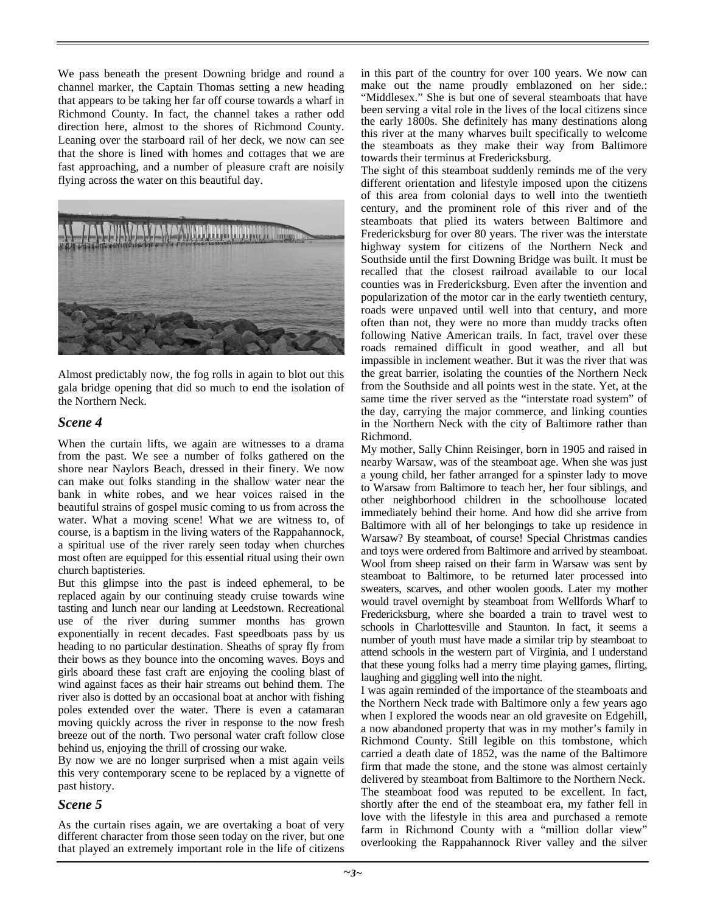We pass beneath the present Downing bridge and round a channel marker, the Captain Thomas setting a new heading that appears to be taking her far off course towards a wharf in Richmond County. In fact, the channel takes a rather odd direction here, almost to the shores of Richmond County. Leaning over the starboard rail of her deck, we now can see that the shore is lined with homes and cottages that we are fast approaching, and a number of pleasure craft are noisily flying across the water on this beautiful day.



Almost predictably now, the fog rolls in again to blot out this gala bridge opening that did so much to end the isolation of the Northern Neck.

### *Scene 4*

When the curtain lifts, we again are witnesses to a drama from the past. We see a number of folks gathered on the shore near Naylors Beach, dressed in their finery. We now can make out folks standing in the shallow water near the bank in white robes, and we hear voices raised in the beautiful strains of gospel music coming to us from across the water. What a moving scene! What we are witness to, of course, is a baptism in the living waters of the Rappahannock, a spiritual use of the river rarely seen today when churches most often are equipped for this essential ritual using their own church baptisteries.

But this glimpse into the past is indeed ephemeral, to be replaced again by our continuing steady cruise towards wine tasting and lunch near our landing at Leedstown. Recreational use of the river during summer months has grown exponentially in recent decades. Fast speedboats pass by us heading to no particular destination. Sheaths of spray fly from their bows as they bounce into the oncoming waves. Boys and girls aboard these fast craft are enjoying the cooling blast of wind against faces as their hair streams out behind them. The river also is dotted by an occasional boat at anchor with fishing poles extended over the water. There is even a catamaran moving quickly across the river in response to the now fresh breeze out of the north. Two personal water craft follow close behind us, enjoying the thrill of crossing our wake.

By now we are no longer surprised when a mist again veils this very contemporary scene to be replaced by a vignette of past history.

# *Scene 5*

As the curtain rises again, we are overtaking a boat of very different character from those seen today on the river, but one that played an extremely important role in the life of citizens in this part of the country for over 100 years. We now can make out the name proudly emblazoned on her side.: "Middlesex." She is but one of several steamboats that have been serving a vital role in the lives of the local citizens since the early 1800s. She definitely has many destinations along this river at the many wharves built specifically to welcome the steamboats as they make their way from Baltimore towards their terminus at Fredericksburg.

The sight of this steamboat suddenly reminds me of the very different orientation and lifestyle imposed upon the citizens of this area from colonial days to well into the twentieth century, and the prominent role of this river and of the steamboats that plied its waters between Baltimore and Fredericksburg for over 80 years. The river was the interstate highway system for citizens of the Northern Neck and Southside until the first Downing Bridge was built. It must be recalled that the closest railroad available to our local counties was in Fredericksburg. Even after the invention and popularization of the motor car in the early twentieth century, roads were unpaved until well into that century, and more often than not, they were no more than muddy tracks often following Native American trails. In fact, travel over these roads remained difficult in good weather, and all but impassible in inclement weather. But it was the river that was the great barrier, isolating the counties of the Northern Neck from the Southside and all points west in the state. Yet, at the same time the river served as the "interstate road system" of the day, carrying the major commerce, and linking counties in the Northern Neck with the city of Baltimore rather than Richmond.

My mother, Sally Chinn Reisinger, born in 1905 and raised in nearby Warsaw, was of the steamboat age. When she was just a young child, her father arranged for a spinster lady to move to Warsaw from Baltimore to teach her, her four siblings, and other neighborhood children in the schoolhouse located immediately behind their home. And how did she arrive from Baltimore with all of her belongings to take up residence in Warsaw? By steamboat, of course! Special Christmas candies and toys were ordered from Baltimore and arrived by steamboat. Wool from sheep raised on their farm in Warsaw was sent by steamboat to Baltimore, to be returned later processed into sweaters, scarves, and other woolen goods. Later my mother would travel overnight by steamboat from Wellfords Wharf to Fredericksburg, where she boarded a train to travel west to schools in Charlottesville and Staunton. In fact, it seems a number of youth must have made a similar trip by steamboat to attend schools in the western part of Virginia, and I understand that these young folks had a merry time playing games, flirting, laughing and giggling well into the night.

I was again reminded of the importance of the steamboats and the Northern Neck trade with Baltimore only a few years ago when I explored the woods near an old gravesite on Edgehill, a now abandoned property that was in my mother's family in Richmond County. Still legible on this tombstone, which carried a death date of 1852, was the name of the Baltimore firm that made the stone, and the stone was almost certainly delivered by steamboat from Baltimore to the Northern Neck. The steamboat food was reputed to be excellent. In fact, shortly after the end of the steamboat era, my father fell in love with the lifestyle in this area and purchased a remote farm in Richmond County with a "million dollar view" overlooking the Rappahannock River valley and the silver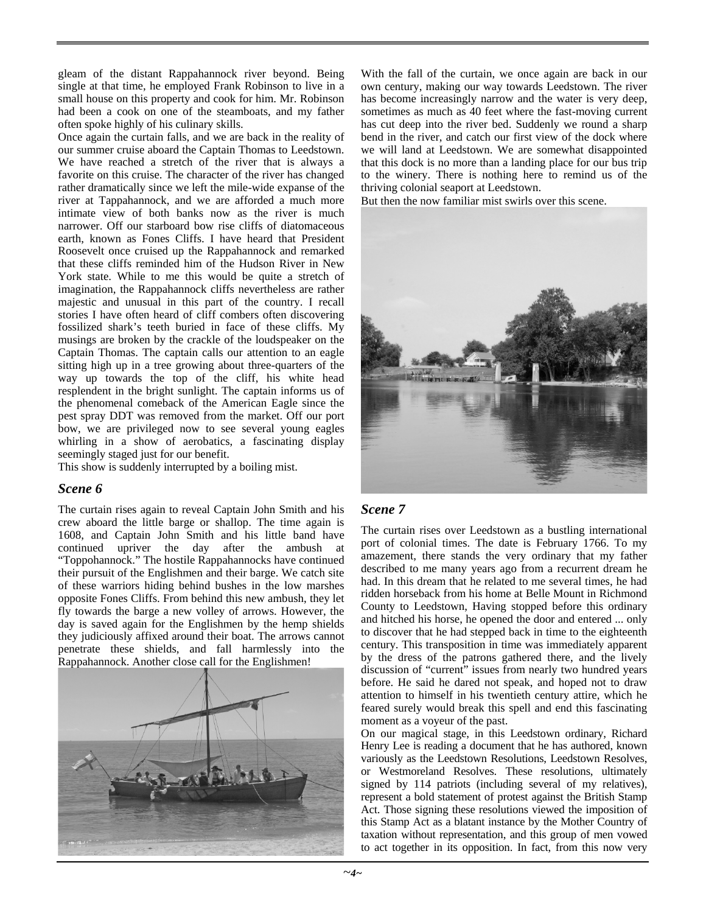gleam of the distant Rappahannock river beyond. Being single at that time, he employed Frank Robinson to live in a small house on this property and cook for him. Mr. Robinson had been a cook on one of the steamboats, and my father often spoke highly of his culinary skills.

Once again the curtain falls, and we are back in the reality of our summer cruise aboard the Captain Thomas to Leedstown. We have reached a stretch of the river that is always a favorite on this cruise. The character of the river has changed rather dramatically since we left the mile-wide expanse of the river at Tappahannock, and we are afforded a much more intimate view of both banks now as the river is much narrower. Off our starboard bow rise cliffs of diatomaceous earth, known as Fones Cliffs. I have heard that President Roosevelt once cruised up the Rappahannock and remarked that these cliffs reminded him of the Hudson River in New York state. While to me this would be quite a stretch of imagination, the Rappahannock cliffs nevertheless are rather majestic and unusual in this part of the country. I recall stories I have often heard of cliff combers often discovering fossilized shark's teeth buried in face of these cliffs. My musings are broken by the crackle of the loudspeaker on the Captain Thomas. The captain calls our attention to an eagle sitting high up in a tree growing about three-quarters of the way up towards the top of the cliff, his white head resplendent in the bright sunlight. The captain informs us of the phenomenal comeback of the American Eagle since the pest spray DDT was removed from the market. Off our port bow, we are privileged now to see several young eagles whirling in a show of aerobatics, a fascinating display seemingly staged just for our benefit.

This show is suddenly interrupted by a boiling mist.

#### *Scene 6*

The curtain rises again to reveal Captain John Smith and his crew aboard the little barge or shallop. The time again is 1608, and Captain John Smith and his little band have continued upriver the day after the ambush at "Toppohannock." The hostile Rappahannocks have continued their pursuit of the Englishmen and their barge. We catch site of these warriors hiding behind bushes in the low marshes opposite Fones Cliffs. From behind this new ambush, they let fly towards the barge a new volley of arrows. However, the day is saved again for the Englishmen by the hemp shields they judiciously affixed around their boat. The arrows cannot penetrate these shields, and fall harmlessly into the Rappahannock. Another close call for the Englishmen!



With the fall of the curtain, we once again are back in our own century, making our way towards Leedstown. The river has become increasingly narrow and the water is very deep, sometimes as much as 40 feet where the fast-moving current has cut deep into the river bed. Suddenly we round a sharp bend in the river, and catch our first view of the dock where we will land at Leedstown. We are somewhat disappointed that this dock is no more than a landing place for our bus trip to the winery. There is nothing here to remind us of the thriving colonial seaport at Leedstown.

But then the now familiar mist swirls over this scene.



# *Scene 7*

The curtain rises over Leedstown as a bustling international port of colonial times. The date is February 1766. To my amazement, there stands the very ordinary that my father described to me many years ago from a recurrent dream he had. In this dream that he related to me several times, he had ridden horseback from his home at Belle Mount in Richmond County to Leedstown, Having stopped before this ordinary and hitched his horse, he opened the door and entered ... only to discover that he had stepped back in time to the eighteenth century. This transposition in time was immediately apparent by the dress of the patrons gathered there, and the lively discussion of "current" issues from nearly two hundred years before. He said he dared not speak, and hoped not to draw attention to himself in his twentieth century attire, which he feared surely would break this spell and end this fascinating moment as a voyeur of the past.

On our magical stage, in this Leedstown ordinary, Richard Henry Lee is reading a document that he has authored, known variously as the Leedstown Resolutions, Leedstown Resolves, or Westmoreland Resolves. These resolutions, ultimately signed by 114 patriots (including several of my relatives), represent a bold statement of protest against the British Stamp Act. Those signing these resolutions viewed the imposition of this Stamp Act as a blatant instance by the Mother Country of taxation without representation, and this group of men vowed to act together in its opposition. In fact, from this now very